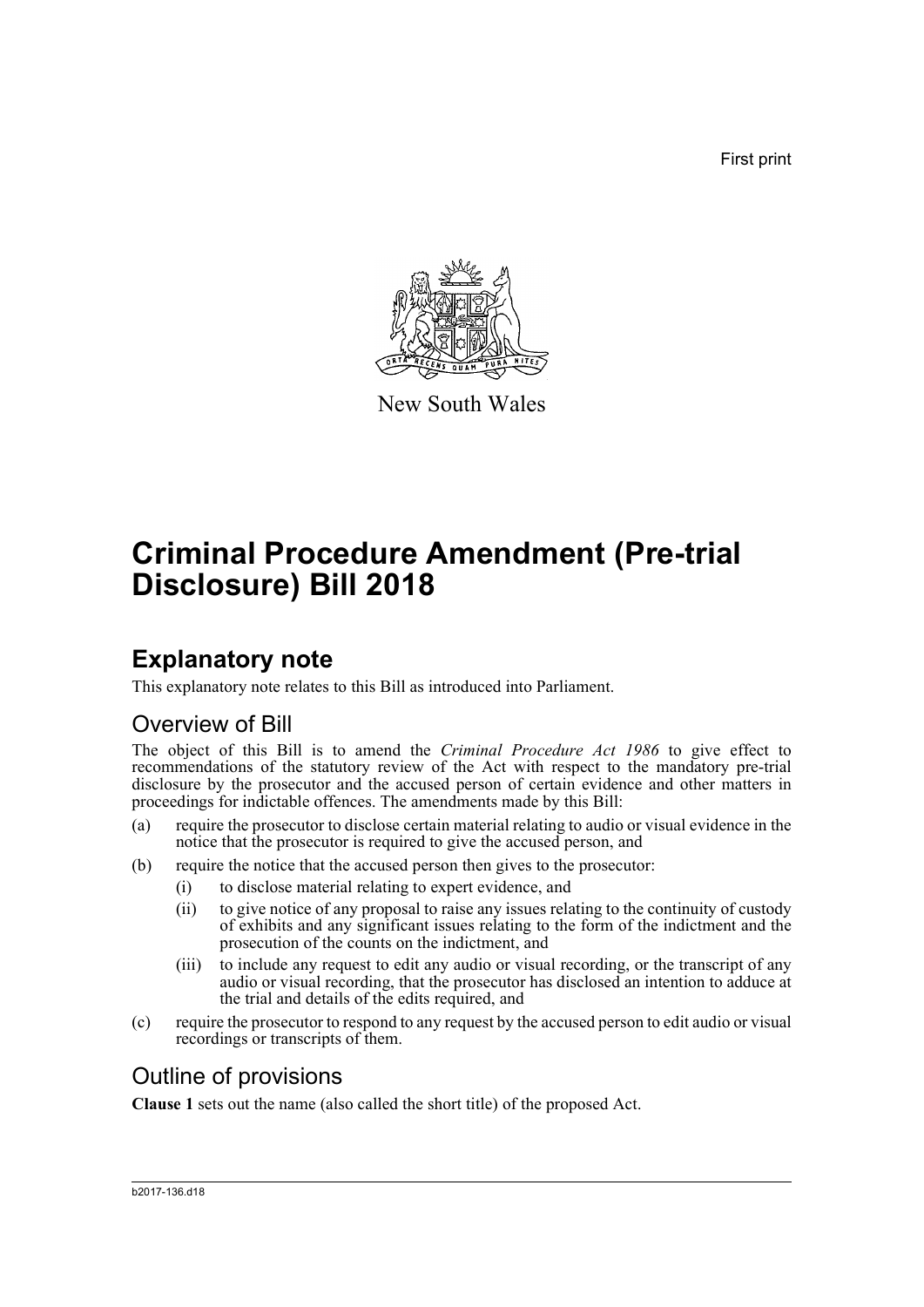First print



New South Wales

# **Criminal Procedure Amendment (Pre-trial Disclosure) Bill 2018**

# **Explanatory note**

This explanatory note relates to this Bill as introduced into Parliament.

## Overview of Bill

The object of this Bill is to amend the *Criminal Procedure Act 1986* to give effect to recommendations of the statutory review of the Act with respect to the mandatory pre-trial disclosure by the prosecutor and the accused person of certain evidence and other matters in proceedings for indictable offences. The amendments made by this Bill:

- (a) require the prosecutor to disclose certain material relating to audio or visual evidence in the notice that the prosecutor is required to give the accused person, and
- (b) require the notice that the accused person then gives to the prosecutor:
	- (i) to disclose material relating to expert evidence, and
	- (ii) to give notice of any proposal to raise any issues relating to the continuity of custody of exhibits and any significant issues relating to the form of the indictment and the prosecution of the counts on the indictment, and
	- (iii) to include any request to edit any audio or visual recording, or the transcript of any audio or visual recording, that the prosecutor has disclosed an intention to adduce at the trial and details of the edits required, and
- (c) require the prosecutor to respond to any request by the accused person to edit audio or visual recordings or transcripts of them.

## Outline of provisions

**Clause 1** sets out the name (also called the short title) of the proposed Act.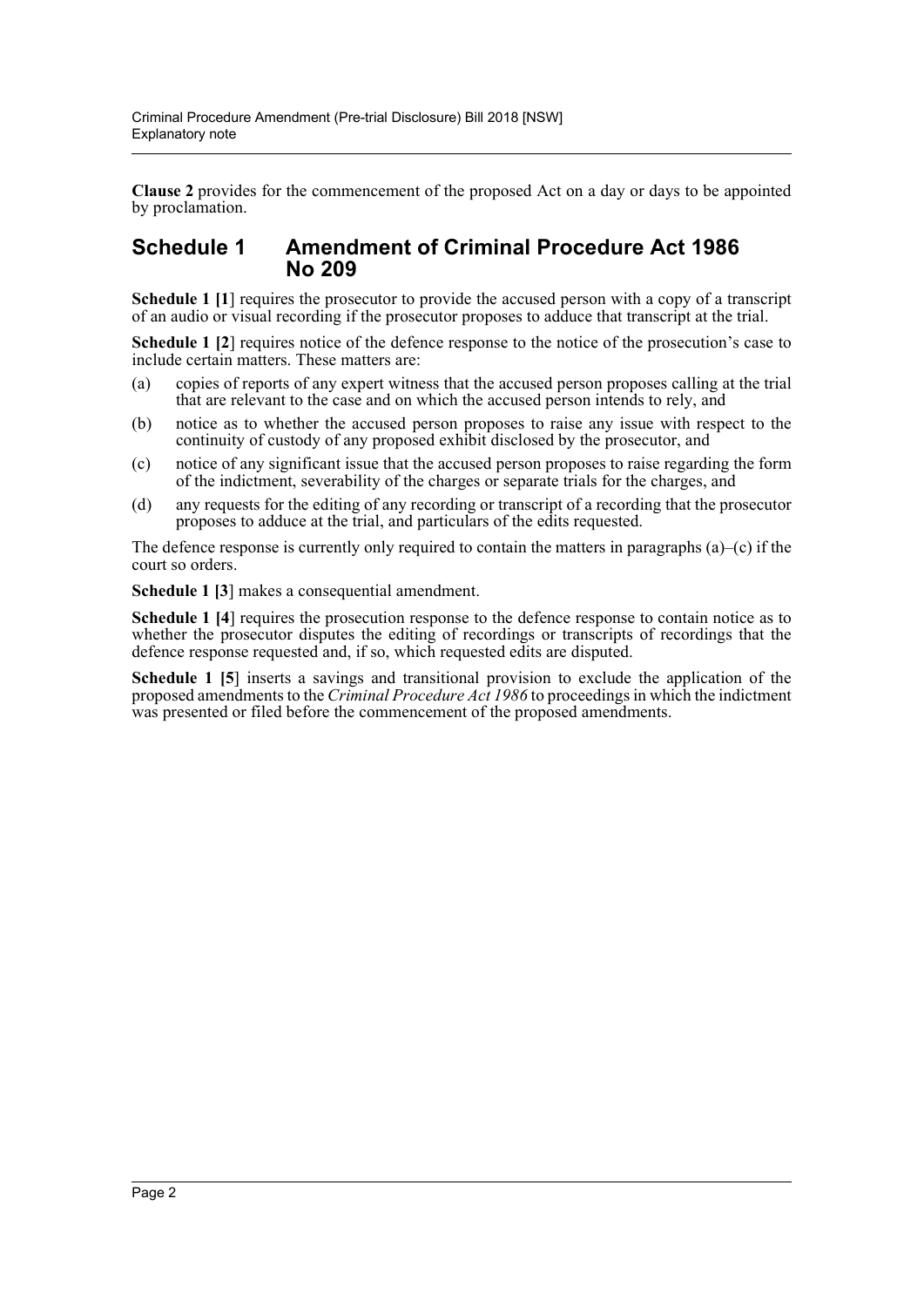**Clause 2** provides for the commencement of the proposed Act on a day or days to be appointed by proclamation.

### **Schedule 1 Amendment of Criminal Procedure Act 1986 No 209**

**Schedule 1 [1**] requires the prosecutor to provide the accused person with a copy of a transcript of an audio or visual recording if the prosecutor proposes to adduce that transcript at the trial.

**Schedule 1 [2]** requires notice of the defence response to the notice of the prosecution's case to include certain matters. These matters are:

- (a) copies of reports of any expert witness that the accused person proposes calling at the trial that are relevant to the case and on which the accused person intends to rely, and
- (b) notice as to whether the accused person proposes to raise any issue with respect to the continuity of custody of any proposed exhibit disclosed by the prosecutor, and
- (c) notice of any significant issue that the accused person proposes to raise regarding the form of the indictment, severability of the charges or separate trials for the charges, and
- (d) any requests for the editing of any recording or transcript of a recording that the prosecutor proposes to adduce at the trial, and particulars of the edits requested.

The defence response is currently only required to contain the matters in paragraphs  $(a)$ –(c) if the court so orders.

**Schedule 1 [3**] makes a consequential amendment.

**Schedule 1 [4**] requires the prosecution response to the defence response to contain notice as to whether the prosecutor disputes the editing of recordings or transcripts of recordings that the defence response requested and, if so, which requested edits are disputed.

**Schedule 1 [5**] inserts a savings and transitional provision to exclude the application of the proposed amendments to the *Criminal Procedure Act 1986* to proceedings in which the indictment was presented or filed before the commencement of the proposed amendments.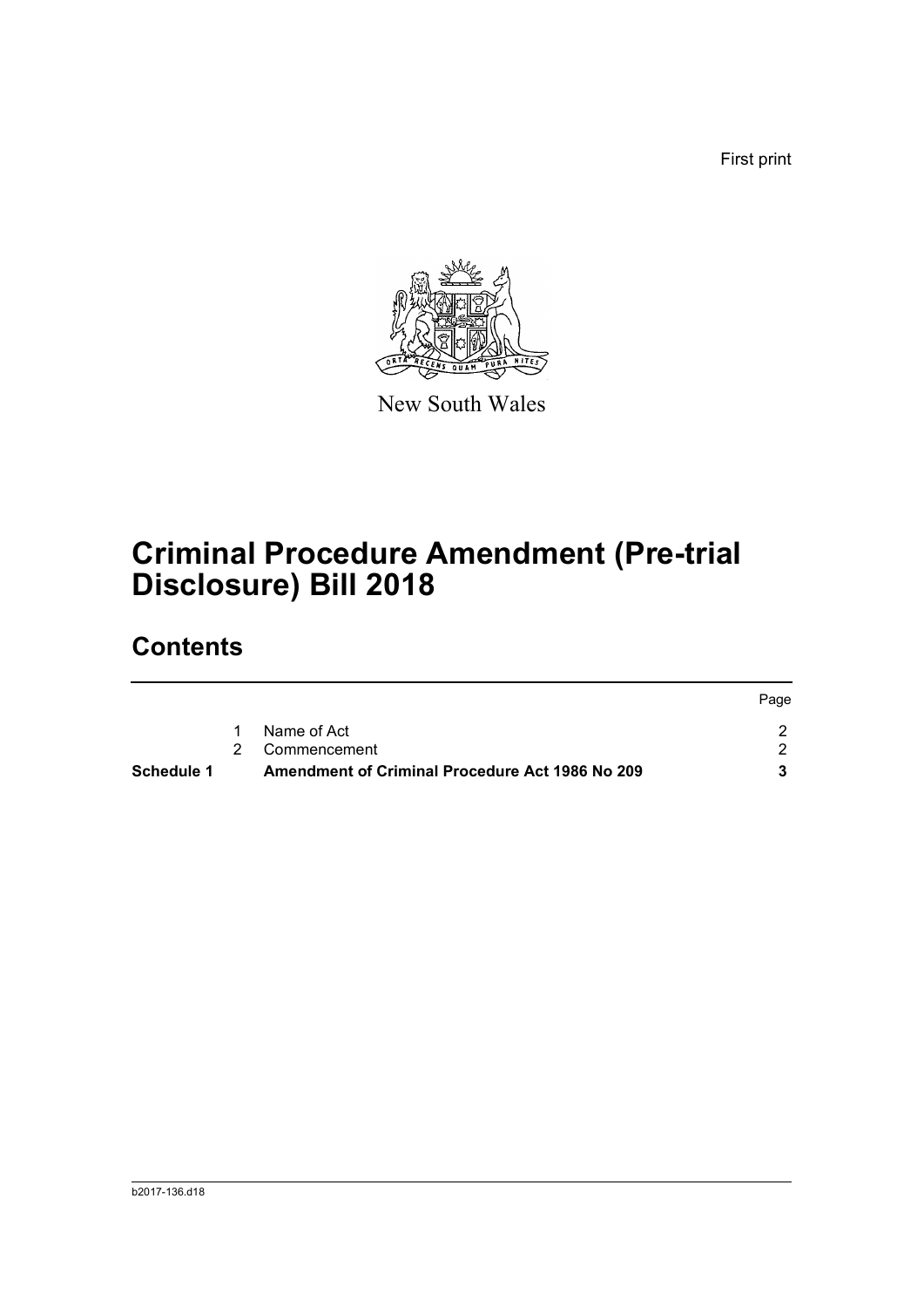First print



New South Wales

# **Criminal Procedure Amendment (Pre-trial Disclosure) Bill 2018**

# **Contents**

| Schedule 1 | Amendment of Criminal Procedure Act 1986 No 209 |      |
|------------|-------------------------------------------------|------|
|            | 2 Commencement                                  |      |
|            | Name of Act                                     |      |
|            |                                                 | Page |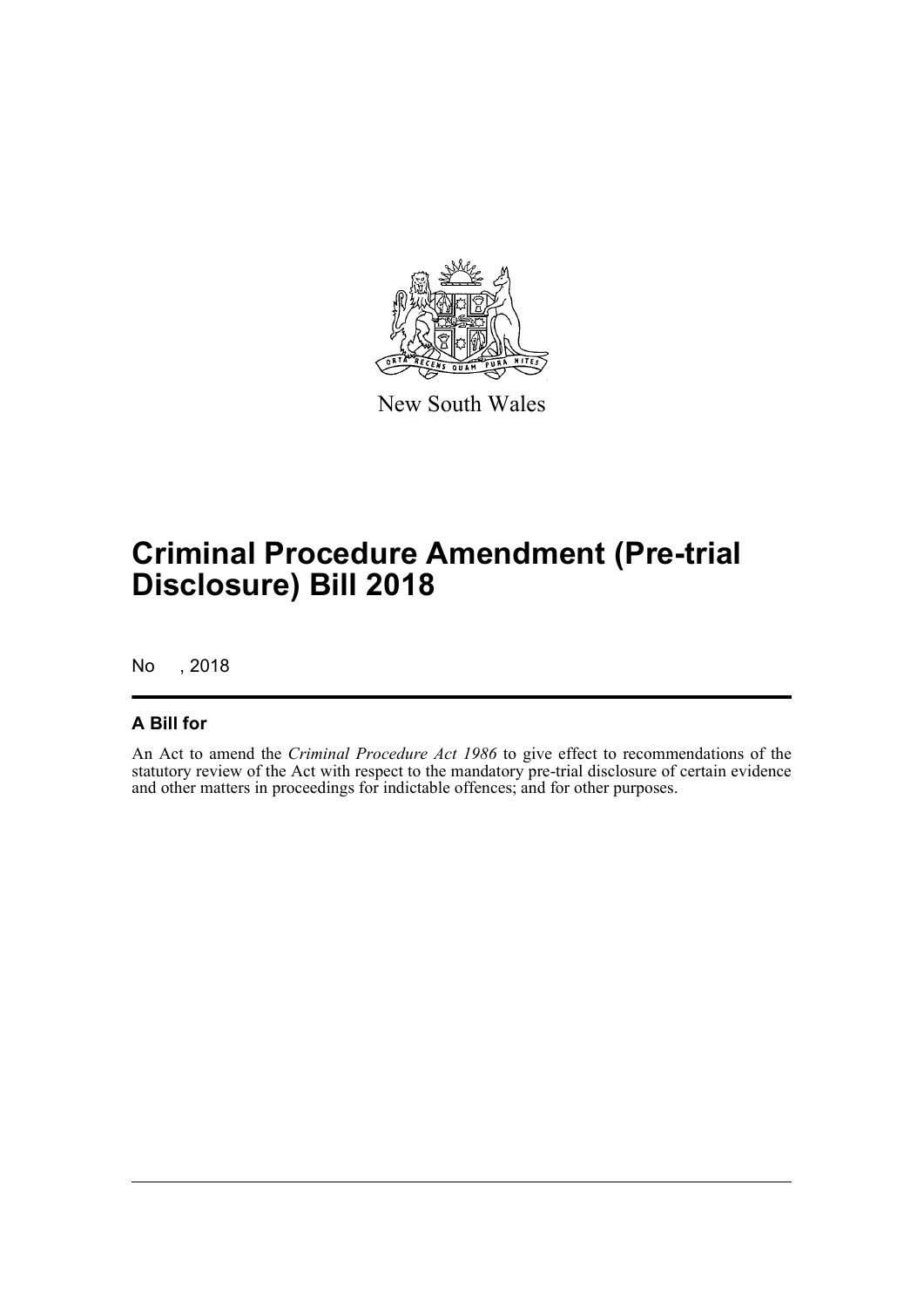

New South Wales

# **Criminal Procedure Amendment (Pre-trial Disclosure) Bill 2018**

No , 2018

### **A Bill for**

An Act to amend the *Criminal Procedure Act 1986* to give effect to recommendations of the statutory review of the Act with respect to the mandatory pre-trial disclosure of certain evidence and other matters in proceedings for indictable offences; and for other purposes.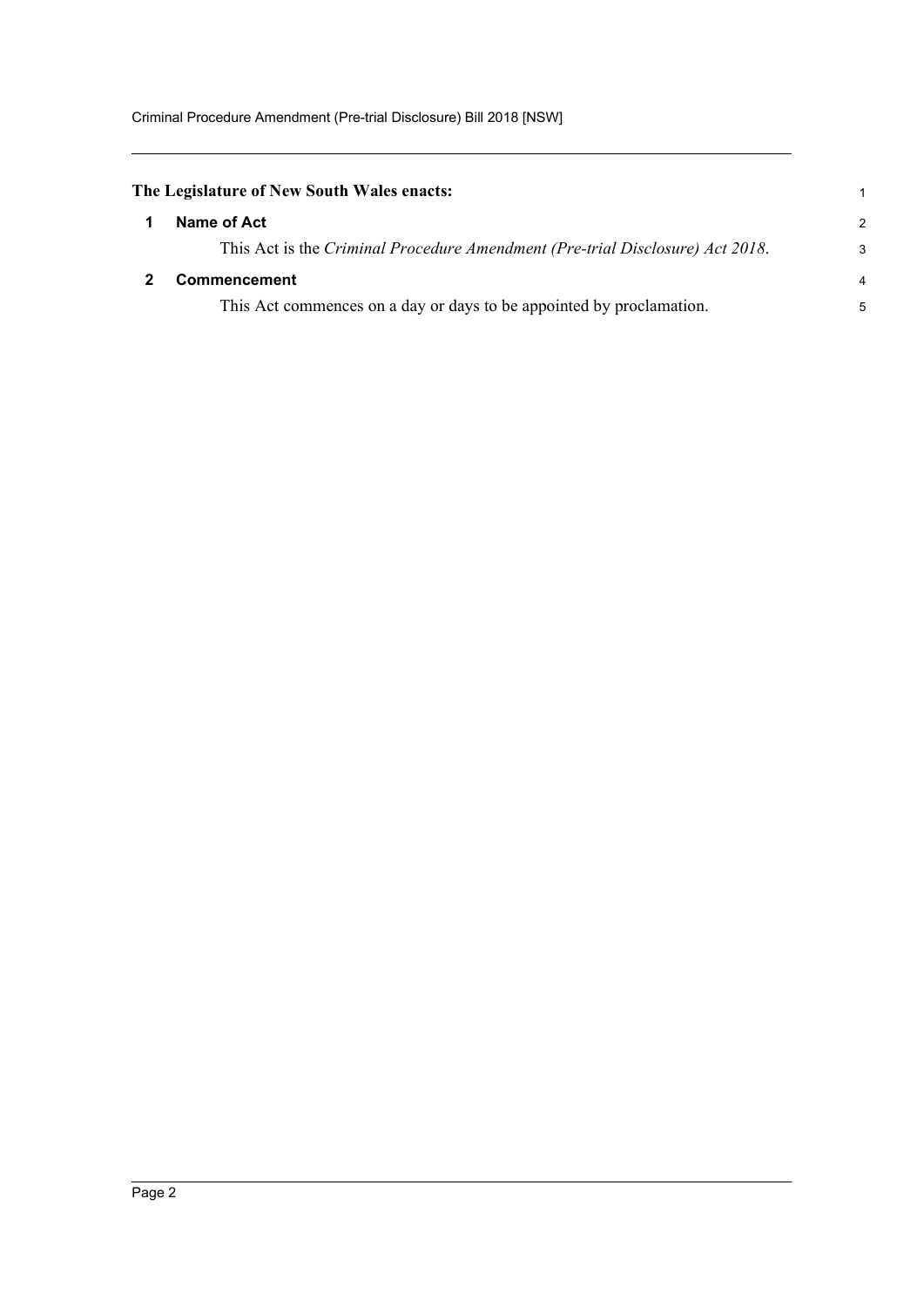<span id="page-4-1"></span><span id="page-4-0"></span>

| The Legislature of New South Wales enacts: |                                                                               |   |  |
|--------------------------------------------|-------------------------------------------------------------------------------|---|--|
|                                            | Name of Act                                                                   | 2 |  |
|                                            | This Act is the Criminal Procedure Amendment (Pre-trial Disclosure) Act 2018. | Э |  |
|                                            | <b>Commencement</b>                                                           |   |  |
|                                            | This Act commences on a day or days to be appointed by proclamation.          |   |  |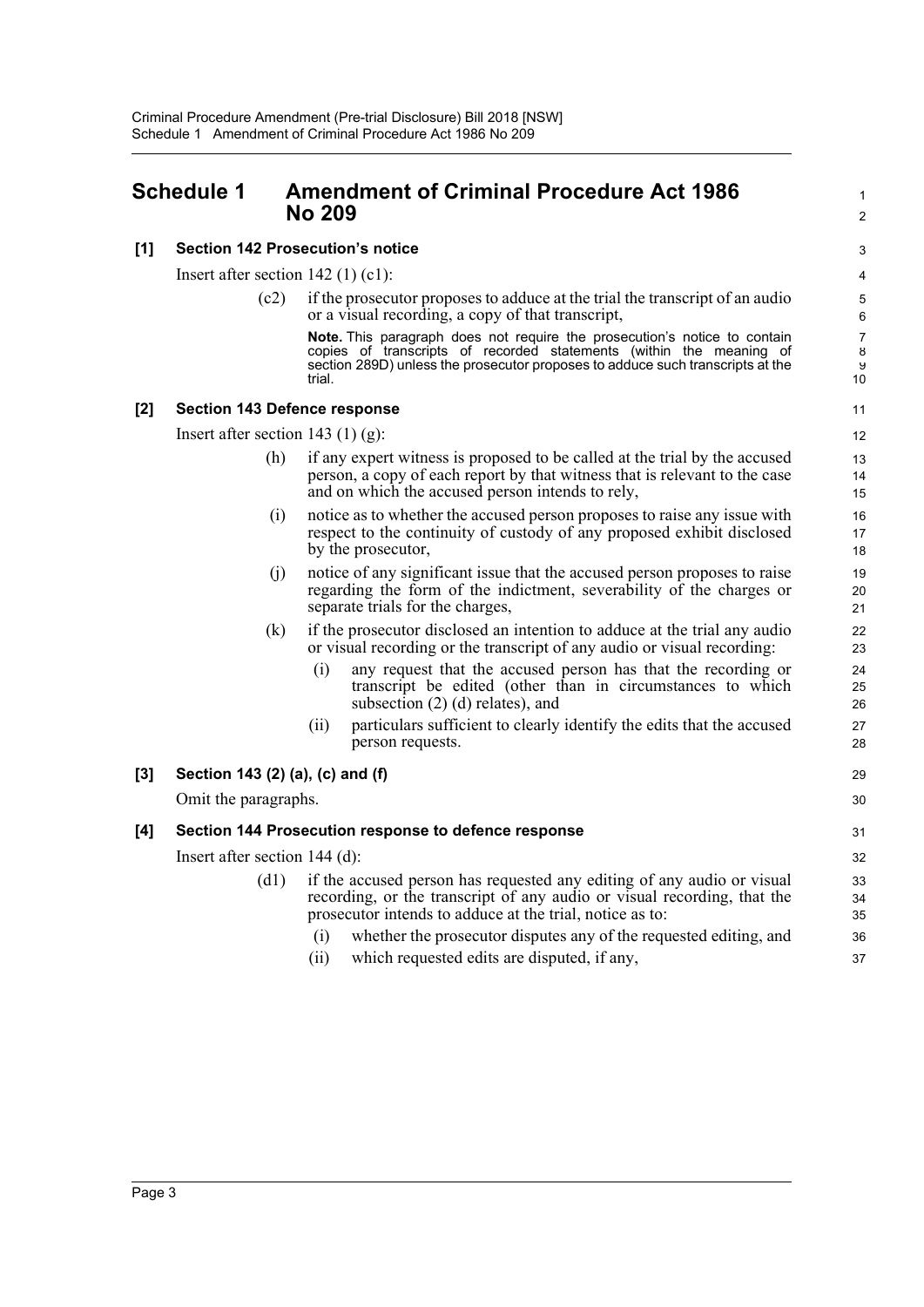### <span id="page-5-0"></span>**Schedule 1 Amendment of Criminal Procedure Act 1986** <sup>1</sup> **No 209** <sup>2</sup>

#### **[1] Section 142 Prosecution's notice** 3

Insert after section  $142 \text{ (1) (c1)}$ :

(c2) if the prosecutor proposes to adduce at the trial the transcript of an audio 5 or a visual recording, a copy of that transcript, 6

**Note.** This paragraph does not require the prosecution's notice to contain 7 copies of transcripts of recorded statements (within the meaning of section 289D) unless the prosecutor proposes to adduce such transcripts at the trial. 10

9 8

14

17

20

25

34

#### **[2] Section 143 Defence response** 11

Insert after section 143 (1) (g): 12

- (h) if any expert witness is proposed to be called at the trial by the accused 13 person, a copy of each report by that witness that is relevant to the case and on which the accused person intends to rely, 15
- (i) notice as to whether the accused person proposes to raise any issue with 16 respect to the continuity of custody of any proposed exhibit disclosed by the prosecutor, 18
- (j) notice of any significant issue that the accused person proposes to raise 19 regarding the form of the indictment, severability of the charges or separate trials for the charges, 21 and 22
- (k) if the prosecutor disclosed an intention to adduce at the trial any audio 22 or visual recording or the transcript of any audio or visual recording: 23
	- (i) any request that the accused person has that the recording or 24 transcript be edited (other than in circumstances to which subsection (2) (d) relates), and 26
	- (ii) particulars sufficient to clearly identify the edits that the accused 27 person requests. 28

#### **[3] Section 143 (2) (a), (c) and (f)** 29

Omit the paragraphs. 30

## **[4] Section 144 Prosecution response to defence response** 31

Insert after section 144 (d): 32

- (d1) if the accused person has requested any editing of any audio or visual 33 recording, or the transcript of any audio or visual recording, that the prosecutor intends to adduce at the trial, notice as to: 35
	- (i) whether the prosecutor disputes any of the requested editing, and 36
	- (ii) which requested edits are disputed, if any, 37